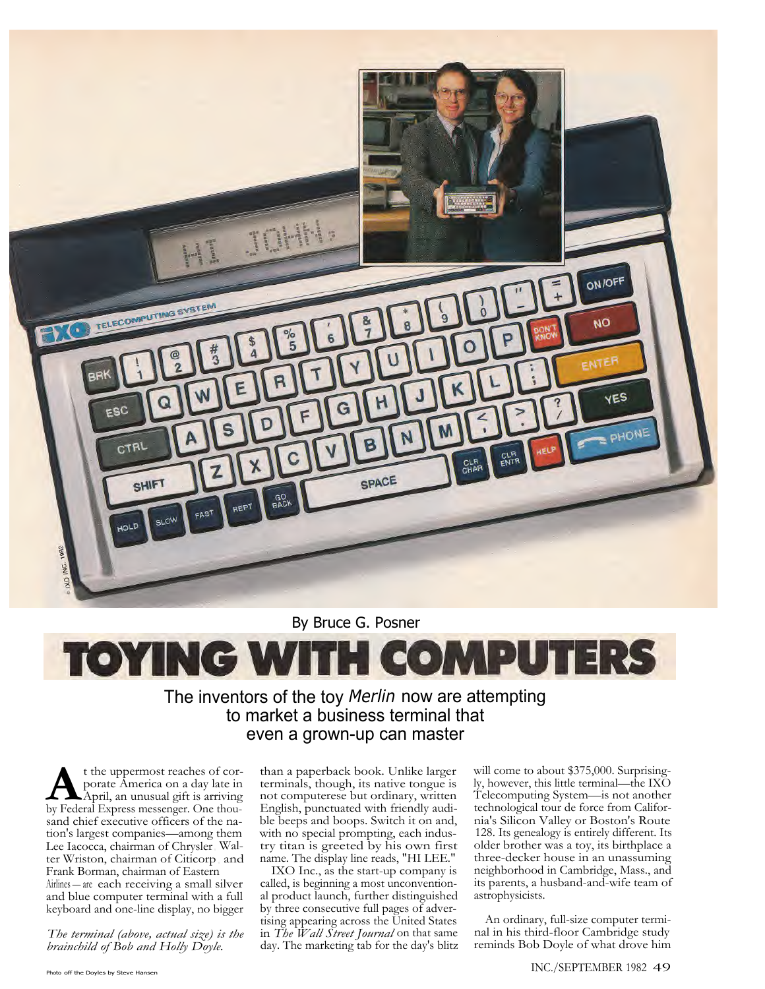

By Bruce G. Posner

## **TOYING WITH COMPUTERS**

## The inventors of the toy *Merlin* now are attempting to market a business terminal that even a grown-up can master

t the uppermost reaches of corporate America on a day late in April, an unusual gift is arriving by Federal Express messenger. One thout the uppermost reaches of corporate America on a day late in April, an unusual gift is arriving sand chief executive officers of the nation's largest companies—among them Lee Iacocca, chairman of Chrysler; Walter Wriston, chairman of Citicorp ; and Frank Borman, chairman of Eastern Airlines — are each receiving a small silver and blue computer terminal with a full keyboard and one-line display, no bigger

*The terminal (above, actual size) is the brainchild of Bob and Holly Doyle.*

than a paperback book. Unlike larger terminals, though, its native tongue is not computerese but ordinary, written English, punctuated with friendly audible beeps and boops. Switch it on and, with no special prompting, each industry titan is greeted by his own first name. The display line reads, "HI LEE."

IXO Inc., as the start-up company is called, is beginning a most unconventional product launch, further distinguished by three consecutive full pages of advertising appearing across the United States in *The Wall Street Journal* on that same day. The marketing tab for the day's blitz

will come to about \$375,000. Surprisingly, however, this little terminal—the IXO Telecomputing System—is not another technological tour de force from California's Silicon Valley or Boston's Route 128. Its genealogy is entirely different. Its older brother was a toy, its birthplace a three-decker house in an unassuming neighborhood in Cambridge, Mass., and its parents, a husband-and-wife team of astrophysicists.

An ordinary, full-size computer terminal in his third-floor Cambridge study reminds Bob Doyle of what drove him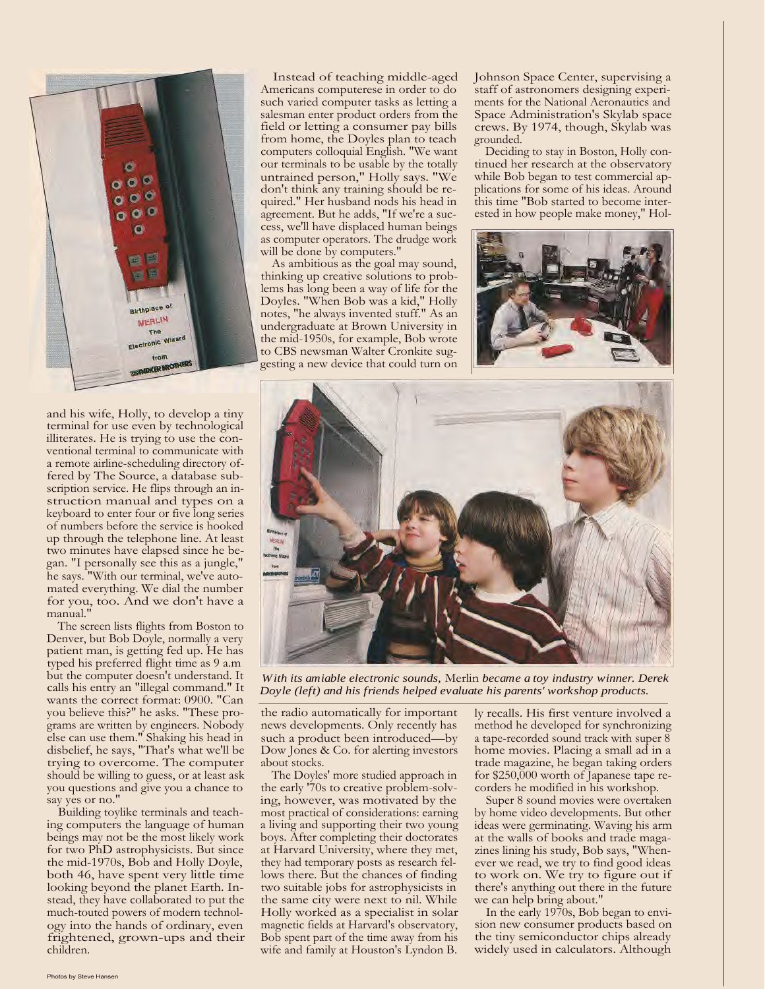

and his wife, Holly, to develop a tiny terminal for use even by technological illiterates. He is trying to use the conventional terminal to communicate with a remote airline-scheduling directory offered by The Source, a database subscription service. He flips through an instruction manual and types on a keyboard to enter four or five long series of numbers before the service is hooked up through the telephone line. At least two minutes have elapsed since he began. "I personally see this as a jungle," he says. "With our terminal, we've automated everything. We dial the number for you, too. And we don't have a manual.

The screen lists flights from Boston to Denver, but Bob Doyle, normally a very patient man, is getting fed up. He has typed his preferred flight time as 9 a.m. but the computer doesn't understand. It calls his entry an "illegal command." It wants the correct format: 0900. "Can you believe this?" he asks. "These programs are written by engineers. Nobody else can use them." Shaking his head in disbelief, he says, "That's what we'll be trying to overcome. The computer should be willing to guess, or at least ask you questions and give you a chance to say yes or no."

Building toylike terminals and teaching computers the language of human beings may not be the most likely work for two PhD astrophysicists. But since the mid-1970s, Bob and Holly Doyle, both 46, have spent very little time looking beyond the planet Earth. Instead, they have collaborated to put the much-touted powers of modern technology into the hands of ordinary, even frightened, grown-ups and their children.

Instead of teaching middle-aged Americans computerese in order to do such varied computer tasks as letting a salesman enter product orders from the field or letting a consumer pay bills from home, the Doyles plan to teach computers colloquial English. "We want our terminals to be usable by the totally untrained person," Holly says. "We don't think any training should be required." Her husband nods his head in agreement. But he adds, "If we're a success, we'll have displaced human beings as computer operators. The drudge work will be done by computers."

As ambitious as the goal may sound, thinking up creative solutions to problems has long been a way of life for the Doyles. "When Bob was a kid," Holly notes, "he always invented stuff." As an undergraduate at Brown University in the mid-1950s, for example, Bob wrote to CBS newsman Walter Cronkite suggesting a new device that could turn on

Johnson Space Center, supervising a staff of astronomers designing experiments for the National Aeronautics and Space Administration's Skylab space crews. By 1974, though, Skylab was grounded.

Deciding to stay in Boston, Holly continued her research at the observatory while Bob began to test commercial applications for some of his ideas. Around this time "Bob started to become interested in how people make money," Hol-





*With its amiable electronic sounds,* Merlin *became a toy industry winner. Derek Doyle (left) and his friends helped evaluate his parents' workshop products.*

the radio automatically for important news developments. Only recently has such a product been introduced—by Dow Jones & Co. for alerting investors about stocks.

The Doyles' more studied approach in the early '70s to creative problem-solving, however, was motivated by the most practical of considerations: earning a living and supporting their two young boys. After completing their doctorates at Harvard University, where they met, they had temporary posts as research fellows there. But the chances of finding two suitable jobs for astrophysicists in the same city were next to nil. While Holly worked as a specialist in solar magnetic fields at Harvard's observatory, Bob spent part of the time away from his wife and family at Houston's Lyndon B.

ly recalls. His first venture involved a method he developed for synchronizing a tape-recorded sound track with super 8 home movies. Placing a small ad in a trade magazine, he began taking orders for \$250,000 worth of Japanese tape recorders he modified in his workshop.

Super 8 sound movies were overtaken by home video developments. But other ideas were germinating. Waving his arm at the walls of books and trade magazines lining his study, Bob says, "Whenever we read, we try to find good ideas to work on. We try to figure out if there's anything out there in the future we can help bring about."

In the early 1970s, Bob began to envision new consumer products based on the tiny semiconductor chips already widely used in calculators. Although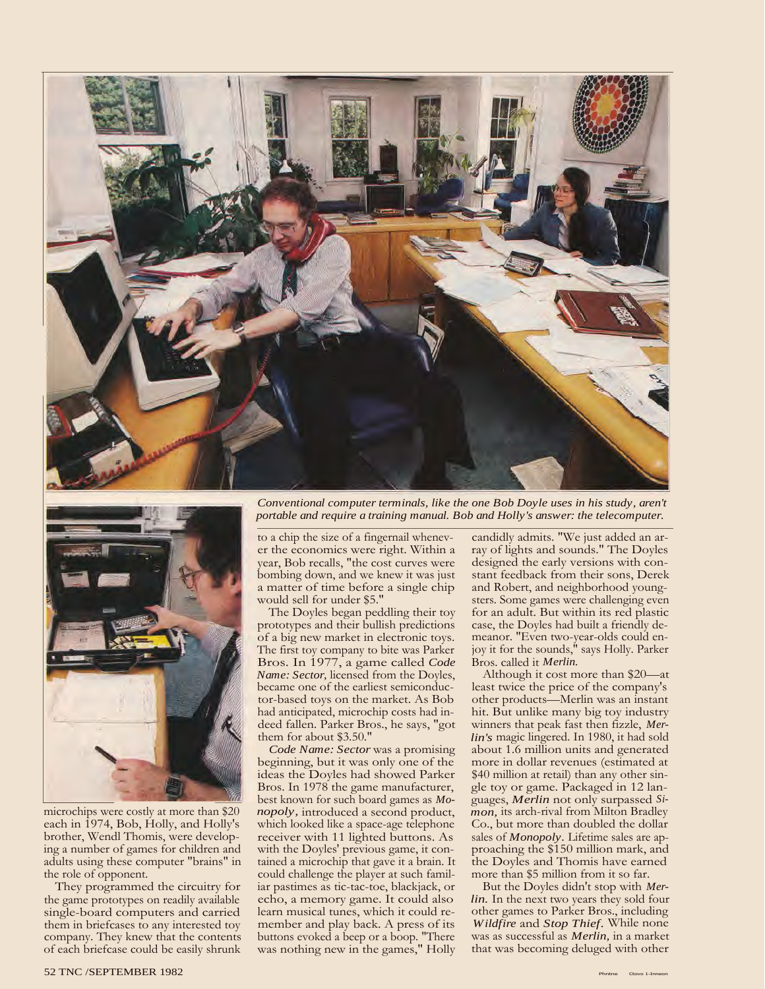



microchips were costly at more than \$20 each in 1974, Bob, Holly, and Holly's brother, Wendl Thomis, were developing a number of games for children and adults using these computer "brains" in the role of opponent.

They programmed the circuitry for the game prototypes on readily available single-board computers and carried them in briefcases to any interested toy company. They knew that the contents of each briefcase could be easily shrunk

*Conventional computer terminals, like the one Bob Doyle uses in his study, aren't portable and require a training manual. Bob and Holly's answer: the telecomputer.*

to a chip the size of a fingernail whenever the economics were right. Within a year, Bob recalls, "the cost curves were bombing down, and we knew it was just a matter of time before a single chip would sell for under \$5."

The Doyles began peddling their toy prototypes and their bullish predictions of a big new market in electronic toys. The first toy company to bite was Parker Bros. In 1977, a game called *Code Name: Sector,* licensed from the Doyles, became one of the earliest semiconductor-based toys on the market. As Bob had anticipated, microchip costs had indeed fallen. Parker Bros., he says, "got them for about \$3.50."

*Code Name: Sector* was a promising beginning, but it was only one of the ideas the Doyles had showed Parker Bros. In 1978 the game manufacturer, best known for such board games as *Monopoly,* introduced a second product, which looked like a space-age telephone receiver with 11 lighted buttons. As with the Doyles' previous game, it contained a microchip that gave it a brain. It could challenge the player at such familiar pastimes as tic-tac-toe, blackjack, or echo, a memory game. It could also learn musical tunes, which it could remember and play back. A press of its buttons evoked a beep or a boop. "There was nothing new in the games," Holly

candidly admits. "We just added an array of lights and sounds." The Doyles designed the early versions with constant feedback from their sons, Derek and Robert, and neighborhood youngsters. Some games were challenging even for an adult. But within its red plastic case, the Doyles had built a friendly demeanor. "Even two-year-olds could enjoy it for the sounds," says Holly. Parker Bros. called it *Merlin.*

Although it cost more than \$20—at least twice the price of the company's other products—Merlin was an instant hit. But unlike many big toy industry winners that peak fast then fizzle, *Merlin's* magic lingered. In 1980, it had sold about 1.6 million units and generated more in dollar revenues (estimated at \$40 million at retail) than any other single toy or game. Packaged in 12 languages, *Merlin* not only surpassed *Simon,* its arch-rival from Milton Bradley Co., but more than doubled the dollar sales of *Monopoly*. Lifetime sales are approaching the \$150 million mark, and the Doyles and Thomis have earned more than \$5 million from it so far.

But the Doyles didn't stop with *Merlin.* In the next two years they sold four other games to Parker Bros., including *Wildfire* and *Stop Thief.* While none was as successful as *Merlin,* in a market that was becoming deluged with other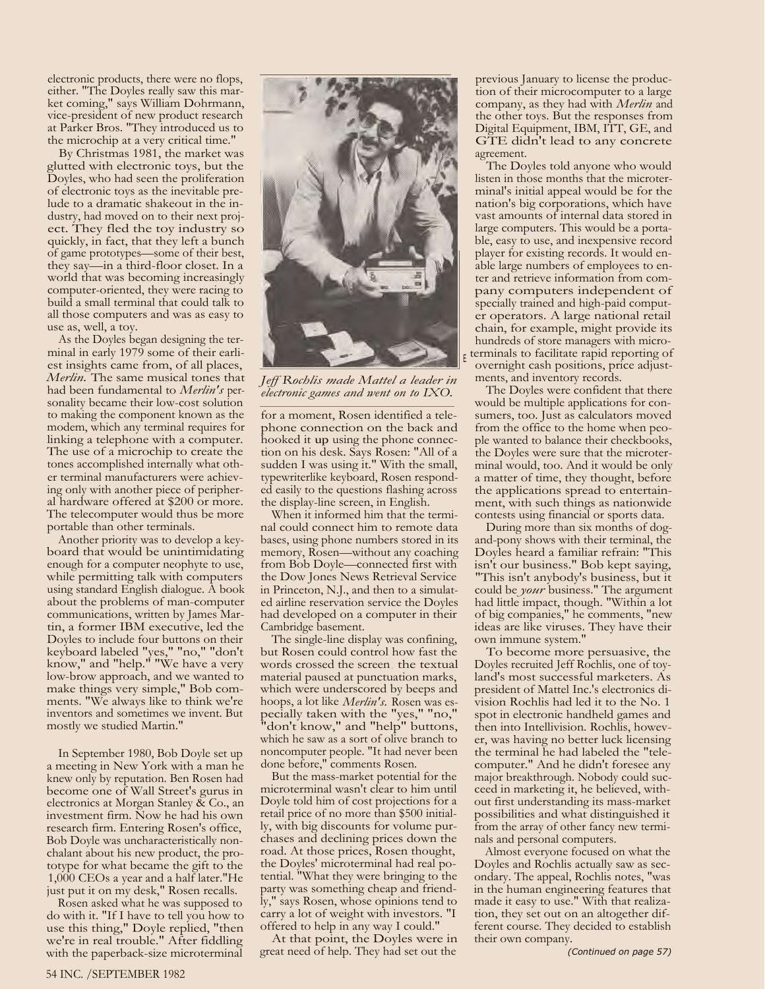electronic products, there were no flops, either. "The Doyles really saw this market coming," says William Dohrmann, vice-president of new product research at Parker Bros. "They introduced us to the microchip at a very critical time."

By Christmas 1981, the market was glutted with electronic toys, but the Doyles, who had seen the proliferation of electronic toys as the inevitable prelude to a dramatic shakeout in the industry, had moved on to their next project. They fled the toy industry so quickly, in fact, that they left a bunch of game prototypes—some of their best, they say—in a third-floor closet. In a world that was becoming increasingly computer-oriented, they were racing to build a small terminal that could talk to all those computers and was as easy to use as, well, a toy.

As the Doyles began designing the terminal in early 1979 some of their earliest insights came from, of all places, *Merlin.* The same musical tones that had been fundamental to *Merlin's* personality became their low-cost solution to making the component known as the modem, which any terminal requires for linking a telephone with a computer. The use of a microchip to create the tones accomplished internally what other terminal manufacturers were achieving only with another piece of peripheral hardware offered at \$200 or more. The telecomputer would thus be more portable than other terminals.

Another priority was to develop a keyboard that would be unintimidating enough for a computer neophyte to use, while permitting talk with computers using standard English dialogue. A book about the problems of man-computer communications, written by James Martin, a former IBM executive, led the Doyles to include four buttons on their keyboard labeled "yes," "no," "don't know," and "help." "We have a very low-brow approach, and we wanted to make things very simple," Bob comments. "We always like to think we're inventors and sometimes we invent. But mostly we studied Martin."

In September 1980, Bob Doyle set up a meeting in New York with a man he knew only by reputation. Ben Rosen had become one of Wall Street's gurus in electronics at Morgan Stanley  $\tilde{X}$  Co., an investment firm. Now he had his own research firm. Entering Rosen's office, Bob Doyle was uncharacteristically nonchalant about his new product, the prototype for what became the gift to the 1,000 CEOs a year and a half later."He just put it on my desk," Rosen recalls.

Rosen asked what he was supposed to do with it. "If I have to tell you how to use this thing," Doyle replied, "then we're in real trouble." After fiddling with the paperback-size microterminal



*Jeff Rochlis made Mattel a leader in electronic games and went on to IXO.*

E

for a moment, Rosen identified a telephone connection on the back and hooked it up using the phone connection on his desk. Says Rosen: "All of a sudden I was using it." With the small, typewriterlike keyboard, Rosen responded easily to the questions flashing across the display-line screen, in English.

When it informed him that the terminal could connect him to remote data bases, using phone numbers stored in its memory, Rosen—without any coaching from Bob Doyle—connected first with the Dow Jones News Retrieval Service in Princeton, N.J., and then to a simulated airline reservation service the Doyles had developed on a computer in their Cambridge basement.

The single-line display was confining, but Rosen could control how fast the words crossed the screen ; the textual material paused at punctuation marks, which were underscored by beeps and hoops, a lot like *Merlin's.* Rosen was especially taken with the "yes," "no," "don't know," and "help" buttons, which he saw as a sort of olive branch to noncomputer people. "It had never been done before," comments Rosen.

But the mass-market potential for the microterminal wasn't clear to him until Doyle told him of cost projections for a retail price of no more than \$500 initially, with big discounts for volume purchases and declining prices down the road. At those prices, Rosen thought, the Doyles' microterminal had real potential. "What they were bringing to the party was something cheap and friendly," says Rosen, whose opinions tend to carry a lot of weight with investors. "I offered to help in any way I could."

At that point, the Doyles were in great need of help. They had set out the

previous January to license the production of their microcomputer to a large company, as they had with *Merlin* and the other toys. But the responses from Digital Equipment, IBM, ITT, GE, and GTE didn't lead to any concrete agreement.

The Doyles told anyone who would listen in those months that the microterminal's initial appeal would be for the nation's big corporations, which have vast amounts of internal data stored in large computers. This would be a portable, easy to use, and inexpensive record player for existing records. It would enable large numbers of employees to enter and retrieve information from company computers independent of specially trained and high-paid computer operators. A large national retail chain, for example, might provide its hundreds of store managers with micro terminals to facilitate rapid reporting of overnight cash positions, price adjustments, and inventory records.

The Doyles were confident that there would be multiple applications for consumers, too. Just as calculators moved from the office to the home when people wanted to balance their checkbooks, the Doyles were sure that the microterminal would, too. And it would be only a matter of time, they thought, before the applications spread to entertainment, with such things as nationwide contests using financial or sports data.

During more than six months of dogand-pony shows with their terminal, the Doyles heard a familiar refrain: "This isn't our business." Bob kept saying, "This isn't anybody's business, but it could be *your* business." The argument had little impact, though. "Within a lot of big companies," he comments, "new ideas are like viruses. They have their own immune system."

To become more persuasive, the Doyles recruited Jeff Rochlis, one of toyland's most successful marketers. As president of Mattel Inc.'s electronics division Rochlis had led it to the No. 1 spot in electronic handheld games and then into Intellivision. Rochlis, however, was having no better luck licensing the terminal he had labeled the "telecomputer." And he didn't foresee any major breakthrough. Nobody could succeed in marketing it, he believed, without first understanding its mass-market possibilities and what distinguished it from the array of other fancy new terminals and personal computers.

Almost everyone focused on what the Doyles and Rochlis actually saw as secondary. The appeal, Rochlis notes, "was in the human engineering features that made it easy to use." With that realization, they set out on an altogether different course. They decided to establish their own company.